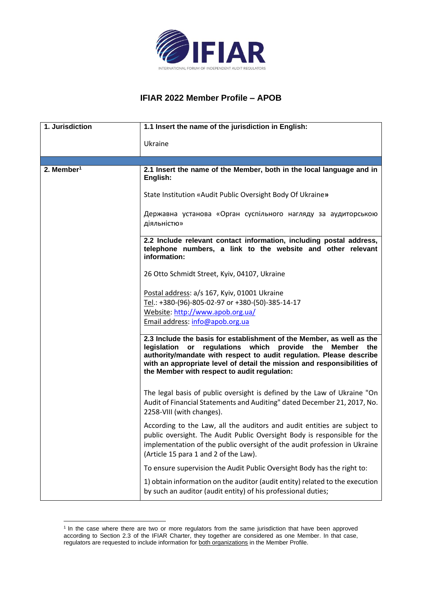

## **IFIAR 2022 Member Profile – APOB**

| 1. Jurisdiction        | 1.1 Insert the name of the jurisdiction in English:                                                                                                                                                                                                                                                                                   |  |
|------------------------|---------------------------------------------------------------------------------------------------------------------------------------------------------------------------------------------------------------------------------------------------------------------------------------------------------------------------------------|--|
|                        | Ukraine                                                                                                                                                                                                                                                                                                                               |  |
|                        |                                                                                                                                                                                                                                                                                                                                       |  |
| 2. Member <sup>1</sup> | 2.1 Insert the name of the Member, both in the local language and in<br>English:                                                                                                                                                                                                                                                      |  |
|                        | State Institution «Audit Public Oversight Body Of Ukraine»                                                                                                                                                                                                                                                                            |  |
|                        | Державна установа «Орган суспільного нагляду за аудиторською<br>діяльністю»                                                                                                                                                                                                                                                           |  |
|                        | 2.2 Include relevant contact information, including postal address,<br>telephone numbers, a link to the website and other relevant<br>information:                                                                                                                                                                                    |  |
|                        | 26 Otto Schmidt Street, Kyiv, 04107, Ukraine                                                                                                                                                                                                                                                                                          |  |
|                        | Postal address: a/s 167, Kyiv, 01001 Ukraine                                                                                                                                                                                                                                                                                          |  |
|                        | Tel.: +380-(96)-805-02-97 or +380-(50)-385-14-17                                                                                                                                                                                                                                                                                      |  |
|                        | Website: http://www.apob.org.ua/                                                                                                                                                                                                                                                                                                      |  |
|                        | Email address: info@apob.org.ua                                                                                                                                                                                                                                                                                                       |  |
|                        | 2.3 Include the basis for establishment of the Member, as well as the<br>legislation or regulations which provide the<br>Member the<br>authority/mandate with respect to audit regulation. Please describe<br>with an appropriate level of detail the mission and responsibilities of<br>the Member with respect to audit regulation: |  |
|                        | The legal basis of public oversight is defined by the Law of Ukraine "On<br>Audit of Financial Statements and Auditing" dated December 21, 2017, No.<br>2258-VIII (with changes).                                                                                                                                                     |  |
|                        | According to the Law, all the auditors and audit entities are subject to<br>public oversight. The Audit Public Oversight Body is responsible for the<br>implementation of the public oversight of the audit profession in Ukraine<br>(Article 15 para 1 and 2 of the Law).                                                            |  |
|                        | To ensure supervision the Audit Public Oversight Body has the right to:                                                                                                                                                                                                                                                               |  |
|                        | 1) obtain information on the auditor (audit entity) related to the execution<br>by such an auditor (audit entity) of his professional duties;                                                                                                                                                                                         |  |

<sup>&</sup>lt;sup>1</sup> In the case where there are two or more regulators from the same jurisdiction that have been approved according to Section 2.3 of the IFIAR Charter, they together are considered as one Member. In that case, regulators are requested to include information for both organizations in the Member Profile.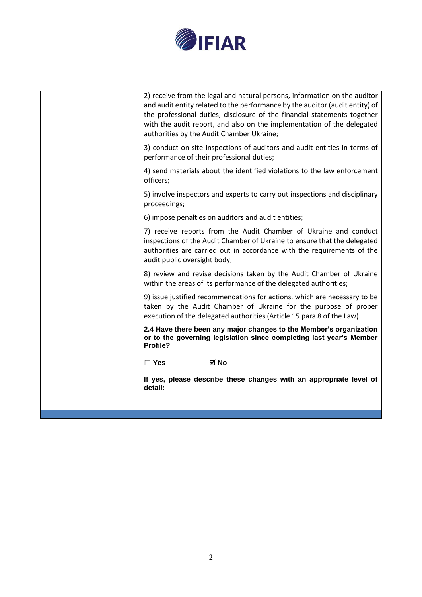

| 2) receive from the legal and natural persons, information on the auditor<br>and audit entity related to the performance by the auditor (audit entity) of<br>the professional duties, disclosure of the financial statements together<br>with the audit report, and also on the implementation of the delegated<br>authorities by the Audit Chamber Ukraine; |
|--------------------------------------------------------------------------------------------------------------------------------------------------------------------------------------------------------------------------------------------------------------------------------------------------------------------------------------------------------------|
| 3) conduct on-site inspections of auditors and audit entities in terms of<br>performance of their professional duties;                                                                                                                                                                                                                                       |
| 4) send materials about the identified violations to the law enforcement<br>officers;                                                                                                                                                                                                                                                                        |
| 5) involve inspectors and experts to carry out inspections and disciplinary<br>proceedings;                                                                                                                                                                                                                                                                  |
| 6) impose penalties on auditors and audit entities;                                                                                                                                                                                                                                                                                                          |
| 7) receive reports from the Audit Chamber of Ukraine and conduct<br>inspections of the Audit Chamber of Ukraine to ensure that the delegated<br>authorities are carried out in accordance with the requirements of the<br>audit public oversight body;                                                                                                       |
| 8) review and revise decisions taken by the Audit Chamber of Ukraine<br>within the areas of its performance of the delegated authorities;                                                                                                                                                                                                                    |
| 9) issue justified recommendations for actions, which are necessary to be<br>taken by the Audit Chamber of Ukraine for the purpose of proper<br>execution of the delegated authorities (Article 15 para 8 of the Law).                                                                                                                                       |
| 2.4 Have there been any major changes to the Member's organization<br>or to the governing legislation since completing last year's Member<br>Profile?                                                                                                                                                                                                        |
| $\Box$ Yes<br>⊠ No                                                                                                                                                                                                                                                                                                                                           |
| If yes, please describe these changes with an appropriate level of<br>detail:                                                                                                                                                                                                                                                                                |
|                                                                                                                                                                                                                                                                                                                                                              |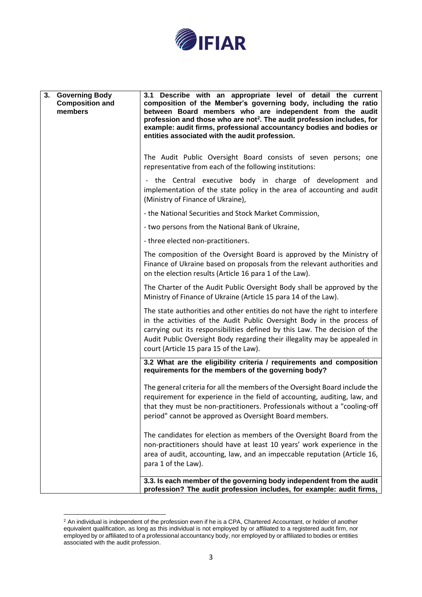

| 3. Governing Body<br><b>Composition and</b><br>members | 3.1 Describe with an appropriate level of detail the current<br>composition of the Member's governing body, including the ratio<br>between Board members who are independent from the audit<br>profession and those who are not <sup>2</sup> . The audit profession includes, for<br>example: audit firms, professional accountancy bodies and bodies or<br>entities associated with the audit profession. |  |  |
|--------------------------------------------------------|------------------------------------------------------------------------------------------------------------------------------------------------------------------------------------------------------------------------------------------------------------------------------------------------------------------------------------------------------------------------------------------------------------|--|--|
|                                                        | The Audit Public Oversight Board consists of seven persons; one<br>representative from each of the following institutions:                                                                                                                                                                                                                                                                                 |  |  |
|                                                        | - the Central executive body in charge of development and<br>implementation of the state policy in the area of accounting and audit<br>(Ministry of Finance of Ukraine),                                                                                                                                                                                                                                   |  |  |
|                                                        | - the National Securities and Stock Market Commission,                                                                                                                                                                                                                                                                                                                                                     |  |  |
|                                                        | - two persons from the National Bank of Ukraine,                                                                                                                                                                                                                                                                                                                                                           |  |  |
|                                                        | - three elected non-practitioners.                                                                                                                                                                                                                                                                                                                                                                         |  |  |
|                                                        | The composition of the Oversight Board is approved by the Ministry of<br>Finance of Ukraine based on proposals from the relevant authorities and<br>on the election results (Article 16 para 1 of the Law).                                                                                                                                                                                                |  |  |
|                                                        | The Charter of the Audit Public Oversight Body shall be approved by the<br>Ministry of Finance of Ukraine (Article 15 para 14 of the Law).                                                                                                                                                                                                                                                                 |  |  |
|                                                        | The state authorities and other entities do not have the right to interfere<br>in the activities of the Audit Public Oversight Body in the process of<br>carrying out its responsibilities defined by this Law. The decision of the<br>Audit Public Oversight Body regarding their illegality may be appealed in<br>court (Article 15 para 15 of the Law).                                                 |  |  |
|                                                        | 3.2 What are the eligibility criteria / requirements and composition<br>requirements for the members of the governing body?                                                                                                                                                                                                                                                                                |  |  |
|                                                        | The general criteria for all the members of the Oversight Board include the<br>requirement for experience in the field of accounting, auditing, law, and<br>that they must be non-practitioners. Professionals without a "cooling-off<br>period" cannot be approved as Oversight Board members.                                                                                                            |  |  |
|                                                        | The candidates for election as members of the Oversight Board from the<br>non-practitioners should have at least 10 years' work experience in the<br>area of audit, accounting, law, and an impeccable reputation (Article 16,<br>para 1 of the Law).                                                                                                                                                      |  |  |
|                                                        | 3.3. Is each member of the governing body independent from the audit<br>profession? The audit profession includes, for example: audit firms,                                                                                                                                                                                                                                                               |  |  |

 $2$  An individual is independent of the profession even if he is a CPA, Chartered Accountant, or holder of another equivalent qualification, as long as this individual is not employed by or affiliated to a registered audit firm, nor employed by or affiliated to of a professional accountancy body, nor employed by or affiliated to bodies or entities associated with the audit profession.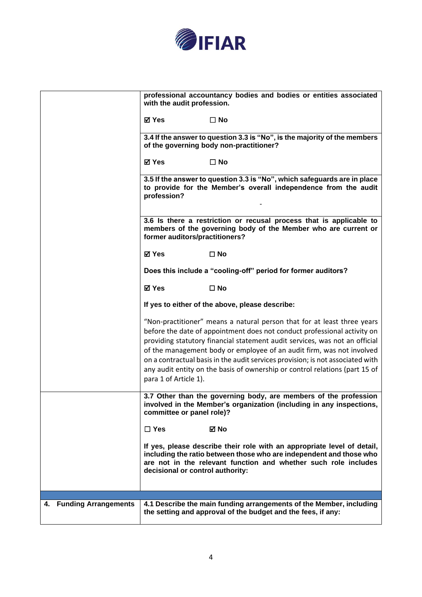

|                         | with the audit profession.                                                                                                                                                                                                                                                                                                                                                                                                                                                                            | professional accountancy bodies and bodies or entities associated                                                                                                                                                 |  |
|-------------------------|-------------------------------------------------------------------------------------------------------------------------------------------------------------------------------------------------------------------------------------------------------------------------------------------------------------------------------------------------------------------------------------------------------------------------------------------------------------------------------------------------------|-------------------------------------------------------------------------------------------------------------------------------------------------------------------------------------------------------------------|--|
|                         | ⊠ Yes                                                                                                                                                                                                                                                                                                                                                                                                                                                                                                 | $\Box$ No                                                                                                                                                                                                         |  |
|                         | 3.4 If the answer to question 3.3 is "No", is the majority of the members<br>of the governing body non-practitioner?                                                                                                                                                                                                                                                                                                                                                                                  |                                                                                                                                                                                                                   |  |
|                         | <b>⊠</b> Yes                                                                                                                                                                                                                                                                                                                                                                                                                                                                                          | $\Box$ No                                                                                                                                                                                                         |  |
|                         | 3.5 If the answer to question 3.3 is "No", which safeguards are in place<br>to provide for the Member's overall independence from the audit<br>profession?                                                                                                                                                                                                                                                                                                                                            |                                                                                                                                                                                                                   |  |
|                         | 3.6 Is there a restriction or recusal process that is applicable to<br>members of the governing body of the Member who are current or<br>former auditors/practitioners?                                                                                                                                                                                                                                                                                                                               |                                                                                                                                                                                                                   |  |
|                         | <b>⊠</b> Yes                                                                                                                                                                                                                                                                                                                                                                                                                                                                                          | $\square$ No                                                                                                                                                                                                      |  |
|                         | Does this include a "cooling-off" period for former auditors?                                                                                                                                                                                                                                                                                                                                                                                                                                         |                                                                                                                                                                                                                   |  |
|                         | <b>⊠</b> Yes                                                                                                                                                                                                                                                                                                                                                                                                                                                                                          | $\Box$ No                                                                                                                                                                                                         |  |
|                         | If yes to either of the above, please describe:                                                                                                                                                                                                                                                                                                                                                                                                                                                       |                                                                                                                                                                                                                   |  |
|                         | "Non-practitioner" means a natural person that for at least three years<br>before the date of appointment does not conduct professional activity on<br>providing statutory financial statement audit services, was not an official<br>of the management body or employee of an audit firm, was not involved<br>on a contractual basis in the audit services provision; is not associated with<br>any audit entity on the basis of ownership or control relations (part 15 of<br>para 1 of Article 1). |                                                                                                                                                                                                                   |  |
|                         | committee or panel role)?                                                                                                                                                                                                                                                                                                                                                                                                                                                                             | 3.7 Other than the governing body, are members of the profession<br>involved in the Member's organization (including in any inspections,                                                                          |  |
|                         | $\Box$ Yes                                                                                                                                                                                                                                                                                                                                                                                                                                                                                            | ⊠ No                                                                                                                                                                                                              |  |
|                         | decisional or control authority:                                                                                                                                                                                                                                                                                                                                                                                                                                                                      | If yes, please describe their role with an appropriate level of detail,<br>including the ratio between those who are independent and those who<br>are not in the relevant function and whether such role includes |  |
|                         |                                                                                                                                                                                                                                                                                                                                                                                                                                                                                                       |                                                                                                                                                                                                                   |  |
|                         |                                                                                                                                                                                                                                                                                                                                                                                                                                                                                                       |                                                                                                                                                                                                                   |  |
| 4. Funding Arrangements |                                                                                                                                                                                                                                                                                                                                                                                                                                                                                                       | 4.1 Describe the main funding arrangements of the Member, including<br>the setting and approval of the budget and the fees, if any:                                                                               |  |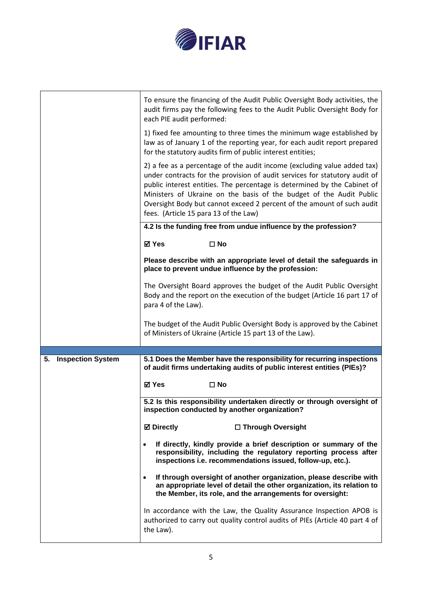

|                                | To ensure the financing of the Audit Public Oversight Body activities, the<br>audit firms pay the following fees to the Audit Public Oversight Body for<br>each PIE audit performed:                                                                                                                                                                                                                                         |  |
|--------------------------------|------------------------------------------------------------------------------------------------------------------------------------------------------------------------------------------------------------------------------------------------------------------------------------------------------------------------------------------------------------------------------------------------------------------------------|--|
|                                | 1) fixed fee amounting to three times the minimum wage established by<br>law as of January 1 of the reporting year, for each audit report prepared<br>for the statutory audits firm of public interest entities;                                                                                                                                                                                                             |  |
|                                | 2) a fee as a percentage of the audit income (excluding value added tax)<br>under contracts for the provision of audit services for statutory audit of<br>public interest entities. The percentage is determined by the Cabinet of<br>Ministers of Ukraine on the basis of the budget of the Audit Public<br>Oversight Body but cannot exceed 2 percent of the amount of such audit<br>fees. (Article 15 para 13 of the Law) |  |
|                                | 4.2 Is the funding free from undue influence by the profession?                                                                                                                                                                                                                                                                                                                                                              |  |
|                                | <b>⊠</b> Yes<br>$\square$ No                                                                                                                                                                                                                                                                                                                                                                                                 |  |
|                                | Please describe with an appropriate level of detail the safeguards in<br>place to prevent undue influence by the profession:                                                                                                                                                                                                                                                                                                 |  |
|                                | The Oversight Board approves the budget of the Audit Public Oversight<br>Body and the report on the execution of the budget (Article 16 part 17 of<br>para 4 of the Law).                                                                                                                                                                                                                                                    |  |
|                                | The budget of the Audit Public Oversight Body is approved by the Cabinet<br>of Ministers of Ukraine (Article 15 part 13 of the Law).                                                                                                                                                                                                                                                                                         |  |
|                                |                                                                                                                                                                                                                                                                                                                                                                                                                              |  |
| 5.<br><b>Inspection System</b> | 5.1 Does the Member have the responsibility for recurring inspections<br>of audit firms undertaking audits of public interest entities (PIEs)?                                                                                                                                                                                                                                                                               |  |
|                                | <b>⊠</b> Yes<br>$\square$ No                                                                                                                                                                                                                                                                                                                                                                                                 |  |
|                                |                                                                                                                                                                                                                                                                                                                                                                                                                              |  |
|                                | 5.2 Is this responsibility undertaken directly or through oversight of<br>inspection conducted by another organization?                                                                                                                                                                                                                                                                                                      |  |
|                                | <b>Ø</b> Directly<br>□ Through Oversight                                                                                                                                                                                                                                                                                                                                                                                     |  |
|                                | If directly, kindly provide a brief description or summary of the<br>responsibility, including the regulatory reporting process after<br>inspections i.e. recommendations issued, follow-up, etc.).                                                                                                                                                                                                                          |  |
|                                | If through oversight of another organization, please describe with<br>an appropriate level of detail the other organization, its relation to<br>the Member, its role, and the arrangements for oversight:                                                                                                                                                                                                                    |  |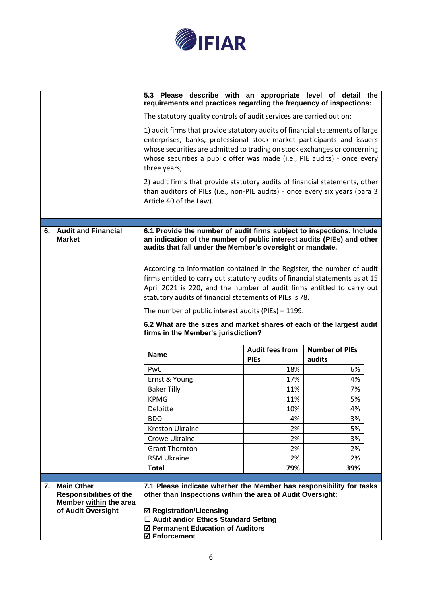

|    |                                                                                                     | 5.3 Please describe with an appropriate level of detail the<br>requirements and practices regarding the frequency of inspections:                                                                                                                                                                                                |                                       |                                 |
|----|-----------------------------------------------------------------------------------------------------|----------------------------------------------------------------------------------------------------------------------------------------------------------------------------------------------------------------------------------------------------------------------------------------------------------------------------------|---------------------------------------|---------------------------------|
|    |                                                                                                     | The statutory quality controls of audit services are carried out on:                                                                                                                                                                                                                                                             |                                       |                                 |
|    |                                                                                                     | 1) audit firms that provide statutory audits of financial statements of large<br>enterprises, banks, professional stock market participants and issuers<br>whose securities are admitted to trading on stock exchanges or concerning<br>whose securities a public offer was made (i.e., PIE audits) - once every<br>three years; |                                       |                                 |
|    |                                                                                                     | 2) audit firms that provide statutory audits of financial statements, other<br>than auditors of PIEs (i.e., non-PIE audits) - once every six years (para 3<br>Article 40 of the Law).                                                                                                                                            |                                       |                                 |
|    |                                                                                                     |                                                                                                                                                                                                                                                                                                                                  |                                       |                                 |
|    | 6. Audit and Financial<br><b>Market</b>                                                             | 6.1 Provide the number of audit firms subject to inspections. Include<br>an indication of the number of public interest audits (PIEs) and other<br>audits that fall under the Member's oversight or mandate.                                                                                                                     |                                       |                                 |
|    |                                                                                                     | According to information contained in the Register, the number of audit<br>firms entitled to carry out statutory audits of financial statements as at 15<br>April 2021 is 220, and the number of audit firms entitled to carry out<br>statutory audits of financial statements of PIEs is 78.                                    |                                       |                                 |
|    |                                                                                                     | The number of public interest audits (PIEs) $-1199$ .                                                                                                                                                                                                                                                                            |                                       |                                 |
|    |                                                                                                     | 6.2 What are the sizes and market shares of each of the largest audit<br>firms in the Member's jurisdiction?                                                                                                                                                                                                                     |                                       |                                 |
|    |                                                                                                     | <b>Name</b>                                                                                                                                                                                                                                                                                                                      | <b>Audit fees from</b><br><b>PIEs</b> | <b>Number of PIEs</b><br>audits |
|    |                                                                                                     | PwC                                                                                                                                                                                                                                                                                                                              | 18%                                   | 6%                              |
|    |                                                                                                     | Ernst & Young                                                                                                                                                                                                                                                                                                                    | 17%                                   | 4%                              |
|    |                                                                                                     | <b>Baker Tilly</b>                                                                                                                                                                                                                                                                                                               | 11%                                   | 7%                              |
|    |                                                                                                     | <b>KPMG</b>                                                                                                                                                                                                                                                                                                                      | 11%                                   | 5%                              |
|    |                                                                                                     | Deloitte                                                                                                                                                                                                                                                                                                                         | 10%                                   | 4%                              |
|    |                                                                                                     | BDO                                                                                                                                                                                                                                                                                                                              | 4%                                    | 3%                              |
|    |                                                                                                     | <b>Kreston Ukraine</b><br>Crowe Ukraine                                                                                                                                                                                                                                                                                          | 2%<br>2%                              | 5%                              |
|    |                                                                                                     |                                                                                                                                                                                                                                                                                                                                  | 2%                                    | 3%                              |
|    |                                                                                                     | <b>Grant Thornton</b><br><b>RSM Ukraine</b>                                                                                                                                                                                                                                                                                      | 2%                                    | 2%<br>2%                        |
|    |                                                                                                     | <b>Total</b>                                                                                                                                                                                                                                                                                                                     | 79%                                   | 39%                             |
|    |                                                                                                     |                                                                                                                                                                                                                                                                                                                                  |                                       |                                 |
| 7. | <b>Main Other</b><br><b>Responsibilities of the</b><br>Member within the area<br>of Audit Oversight | 7.1 Please indicate whether the Member has responsibility for tasks<br>other than Inspections within the area of Audit Oversight:<br><b>Ø Registration/Licensing</b><br>$\Box$ Audit and/or Ethics Standard Setting<br>☑ Permanent Education of Auditors<br><b>Ø</b> Enforcement                                                 |                                       |                                 |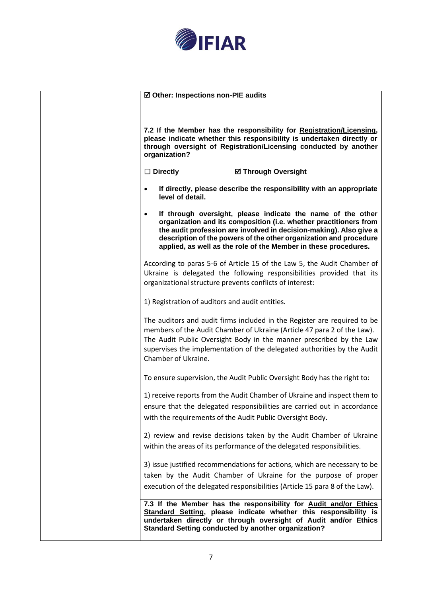

| ☑ Other: Inspections non-PIE audits                      |                                                                                                                                                                                                                                                                                                                                                |
|----------------------------------------------------------|------------------------------------------------------------------------------------------------------------------------------------------------------------------------------------------------------------------------------------------------------------------------------------------------------------------------------------------------|
| organization?                                            | 7.2 If the Member has the responsibility for Registration/Licensing,<br>please indicate whether this responsibility is undertaken directly or<br>through oversight of Registration/Licensing conducted by another                                                                                                                              |
| $\Box$ Directly                                          | <b>Ø Through Oversight</b>                                                                                                                                                                                                                                                                                                                     |
| level of detail.                                         | If directly, please describe the responsibility with an appropriate                                                                                                                                                                                                                                                                            |
| $\bullet$                                                | If through oversight, please indicate the name of the other<br>organization and its composition (i.e. whether practitioners from<br>the audit profession are involved in decision-making). Also give a<br>description of the powers of the other organization and procedure<br>applied, as well as the role of the Member in these procedures. |
| organizational structure prevents conflicts of interest: | According to paras 5-6 of Article 15 of the Law 5, the Audit Chamber of<br>Ukraine is delegated the following responsibilities provided that its                                                                                                                                                                                               |
| 1) Registration of auditors and audit entities.          |                                                                                                                                                                                                                                                                                                                                                |
| Chamber of Ukraine.                                      | The auditors and audit firms included in the Register are required to be<br>members of the Audit Chamber of Ukraine (Article 47 para 2 of the Law).<br>The Audit Public Oversight Body in the manner prescribed by the Law<br>supervises the implementation of the delegated authorities by the Audit                                          |
|                                                          | To ensure supervision, the Audit Public Oversight Body has the right to:                                                                                                                                                                                                                                                                       |
|                                                          | 1) receive reports from the Audit Chamber of Ukraine and inspect them to<br>ensure that the delegated responsibilities are carried out in accordance<br>with the requirements of the Audit Public Oversight Body.                                                                                                                              |
|                                                          | 2) review and revise decisions taken by the Audit Chamber of Ukraine<br>within the areas of its performance of the delegated responsibilities.                                                                                                                                                                                                 |
|                                                          | 3) issue justified recommendations for actions, which are necessary to be<br>taken by the Audit Chamber of Ukraine for the purpose of proper<br>execution of the delegated responsibilities (Article 15 para 8 of the Law).                                                                                                                    |
|                                                          | 7.3 If the Member has the responsibility for Audit and/or Ethics<br>Standard Setting, please indicate whether this responsibility is<br>undertaken directly or through oversight of Audit and/or Ethics<br><b>Standard Setting conducted by another organization?</b>                                                                          |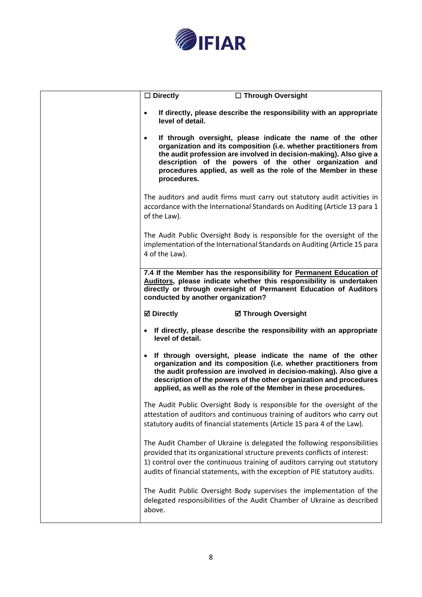

| $\Box$ Directly                    | □ Through Oversight                                                                                                                                                                                                                                                                                                                             |
|------------------------------------|-------------------------------------------------------------------------------------------------------------------------------------------------------------------------------------------------------------------------------------------------------------------------------------------------------------------------------------------------|
| $\bullet$<br>level of detail.      | If directly, please describe the responsibility with an appropriate                                                                                                                                                                                                                                                                             |
| $\bullet$<br>procedures.           | If through oversight, please indicate the name of the other<br>organization and its composition (i.e. whether practitioners from<br>the audit profession are involved in decision-making). Also give a<br>description of the powers of the other organization and<br>procedures applied, as well as the role of the Member in these             |
| of the Law).                       | The auditors and audit firms must carry out statutory audit activities in<br>accordance with the International Standards on Auditing (Article 13 para 1                                                                                                                                                                                         |
| 4 of the Law).                     | The Audit Public Oversight Body is responsible for the oversight of the<br>implementation of the International Standards on Auditing (Article 15 para                                                                                                                                                                                           |
| conducted by another organization? | 7.4 If the Member has the responsibility for Permanent Education of<br>Auditors, please indicate whether this responsibility is undertaken<br>directly or through oversight of Permanent Education of Auditors                                                                                                                                  |
| <b>Ø</b> Directly                  | <b>Ø Through Oversight</b>                                                                                                                                                                                                                                                                                                                      |
| level of detail.                   | If directly, please describe the responsibility with an appropriate                                                                                                                                                                                                                                                                             |
|                                    | If through oversight, please indicate the name of the other<br>organization and its composition (i.e. whether practitioners from<br>the audit profession are involved in decision-making). Also give a<br>description of the powers of the other organization and procedures<br>applied, as well as the role of the Member in these procedures. |
|                                    | The Audit Public Oversight Body is responsible for the oversight of the<br>attestation of auditors and continuous training of auditors who carry out<br>statutory audits of financial statements (Article 15 para 4 of the Law).                                                                                                                |
|                                    | The Audit Chamber of Ukraine is delegated the following responsibilities<br>provided that its organizational structure prevents conflicts of interest:<br>1) control over the continuous training of auditors carrying out statutory<br>audits of financial statements, with the exception of PIE statutory audits.                             |
|                                    | The Audit Public Oversight Body supervises the implementation of the<br>delegated responsibilities of the Audit Chamber of Ukraine as described                                                                                                                                                                                                 |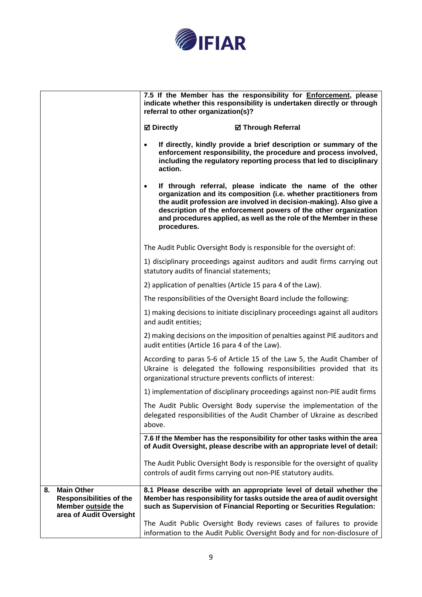

|    |                                                                                                      | 7.5 If the Member has the responsibility for Enforcement, please<br>indicate whether this responsibility is undertaken directly or through<br>referral to other organization(s)?                                                                                                                                                                                           |  |
|----|------------------------------------------------------------------------------------------------------|----------------------------------------------------------------------------------------------------------------------------------------------------------------------------------------------------------------------------------------------------------------------------------------------------------------------------------------------------------------------------|--|
|    |                                                                                                      | <b>⊠</b> Directly<br><b>Ø Through Referral</b>                                                                                                                                                                                                                                                                                                                             |  |
|    |                                                                                                      | If directly, kindly provide a brief description or summary of the<br>$\bullet$<br>enforcement responsibility, the procedure and process involved,<br>including the regulatory reporting process that led to disciplinary<br>action.                                                                                                                                        |  |
|    |                                                                                                      | If through referral, please indicate the name of the other<br>$\bullet$<br>organization and its composition (i.e. whether practitioners from<br>the audit profession are involved in decision-making). Also give a<br>description of the enforcement powers of the other organization<br>and procedures applied, as well as the role of the Member in these<br>procedures. |  |
|    |                                                                                                      | The Audit Public Oversight Body is responsible for the oversight of:                                                                                                                                                                                                                                                                                                       |  |
|    |                                                                                                      | 1) disciplinary proceedings against auditors and audit firms carrying out<br>statutory audits of financial statements;                                                                                                                                                                                                                                                     |  |
|    |                                                                                                      | 2) application of penalties (Article 15 para 4 of the Law).                                                                                                                                                                                                                                                                                                                |  |
|    |                                                                                                      | The responsibilities of the Oversight Board include the following:                                                                                                                                                                                                                                                                                                         |  |
|    |                                                                                                      | 1) making decisions to initiate disciplinary proceedings against all auditors<br>and audit entities;                                                                                                                                                                                                                                                                       |  |
|    |                                                                                                      | 2) making decisions on the imposition of penalties against PIE auditors and<br>audit entities (Article 16 para 4 of the Law).                                                                                                                                                                                                                                              |  |
|    |                                                                                                      | According to paras 5-6 of Article 15 of the Law 5, the Audit Chamber of<br>Ukraine is delegated the following responsibilities provided that its<br>organizational structure prevents conflicts of interest:                                                                                                                                                               |  |
|    |                                                                                                      | 1) implementation of disciplinary proceedings against non-PIE audit firms                                                                                                                                                                                                                                                                                                  |  |
|    |                                                                                                      | The Audit Public Oversight Body supervise the implementation of the<br>delegated responsibilities of the Audit Chamber of Ukraine as described<br>above.                                                                                                                                                                                                                   |  |
|    |                                                                                                      | 7.6 If the Member has the responsibility for other tasks within the area<br>of Audit Oversight, please describe with an appropriate level of detail:                                                                                                                                                                                                                       |  |
|    |                                                                                                      | The Audit Public Oversight Body is responsible for the oversight of quality<br>controls of audit firms carrying out non-PIE statutory audits.                                                                                                                                                                                                                              |  |
| 8. | <b>Main Other</b><br><b>Responsibilities of the</b><br>Member outside the<br>area of Audit Oversight | 8.1 Please describe with an appropriate level of detail whether the<br>Member has responsibility for tasks outside the area of audit oversight<br>such as Supervision of Financial Reporting or Securities Regulation:                                                                                                                                                     |  |
|    |                                                                                                      | The Audit Public Oversight Body reviews cases of failures to provide<br>information to the Audit Public Oversight Body and for non-disclosure of                                                                                                                                                                                                                           |  |